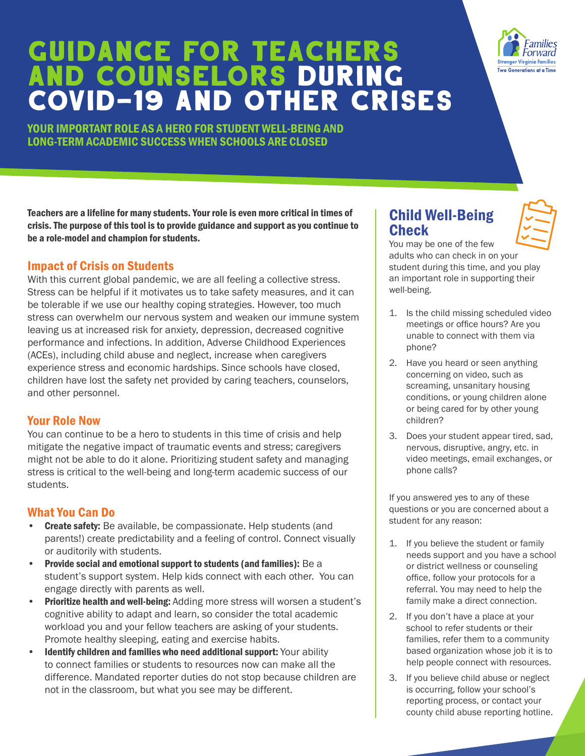## GUIDANCE FOR TEACHERS AND COUNSELORS during COVID-19 and other Crises

YOUR IMPORTANT ROLE AS A HERO FOR STUDENT WELL-BEING AND LONG-TERM ACADEMIC SUCCESS WHEN SCHOOLS ARE CLOSED

Teachers are a lifeline for many students. Your role is even more critical in times of crisis. The purpose of this tool is to provide guidance and support as you continue to be a role-model and champion for students.

#### Impact of Crisis on Students

With this current global pandemic, we are all feeling a collective stress. Stress can be helpful if it motivates us to take safety measures, and it can be tolerable if we use our healthy coping strategies. However, too much stress can overwhelm our nervous system and weaken our immune system leaving us at increased risk for anxiety, depression, decreased cognitive performance and infections. In addition, Adverse Childhood Experiences (ACEs), including child abuse and neglect, increase when caregivers experience stress and economic hardships. Since schools have closed, children have lost the safety net provided by caring teachers, counselors, and other personnel.

#### Your Role Now

You can continue to be a hero to students in this time of crisis and help mitigate the negative impact of traumatic events and stress; caregivers might not be able to do it alone. Prioritizing student safety and managing stress is critical to the well-being and long-term academic success of our students.

#### What You Can Do

- Create safety: Be available, be compassionate. Help students (and parents!) create predictability and a feeling of control. Connect visually or auditorily with students.
- Provide social and emotional support to students (and families): Be a student's support system. Help kids connect with each other. You can engage directly with parents as well.
- Prioritize health and well-being: Adding more stress will worsen a student's cognitive ability to adapt and learn, so consider the total academic workload you and your fellow teachers are asking of your students. Promote healthy sleeping, eating and exercise habits.
- Identify children and families who need additional support: Your ability to connect families or students to resources now can make all the difference. Mandated reporter duties do not stop because children are not in the classroom, but what you see may be different.

### Child Well-Being **Check**

You may be one of the few adults who can check in on your student during this time, and you play an important role in supporting their well-being.

- 1. Is the child missing scheduled video meetings or office hours? Are you unable to connect with them via phone?
- 2. Have you heard or seen anything concerning on video, such as screaming, unsanitary housing conditions, or young children alone or being cared for by other young children?
- 3. Does your student appear tired, sad, nervous, disruptive, angry, etc. in video meetings, email exchanges, or phone calls?

If you answered yes to any of these questions or you are concerned about a student for any reason:

- 1. If you believe the student or family needs support and you have a school or district wellness or counseling office, follow your protocols for a referral. You may need to help the family make a direct connection.
- 2. If you don't have a place at your school to refer students or their families, refer them to a community based organization whose job it is to help people connect with resources.
- 3. If you believe child abuse or neglect is occurring, follow your school's reporting process, or contact your county child abuse reporting hotline.